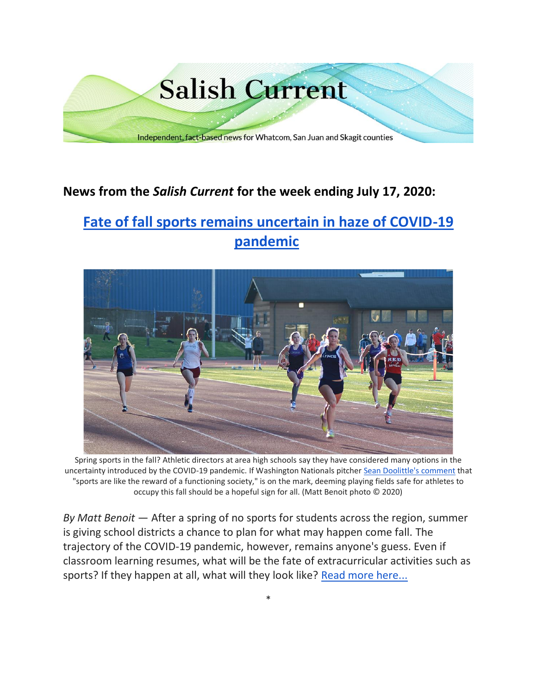

# **News from the** *Salish Current* **for the week ending July 17, 2020:**

# **[Fate of fall sports remains uncertain in haze of COVID-19](https://salish-current.org/2020/07/17/fate-of-fall-sports-remains-uncertain-in-haze-of-covid-19-pandemic/)  [pandemic](https://salish-current.org/2020/07/17/fate-of-fall-sports-remains-uncertain-in-haze-of-covid-19-pandemic/)**



Spring sports in the fall? Athletic directors at area high schools say they have considered many options in the uncertainty introduced by the COVID-19 pandemic. If Washington Nationals pitcher [Sean Doolittle's comment](https://www.washingtonpost.com/sports/2020/07/05/sean-doolittle-nationals-testing/) that "sports are like the reward of a functioning society," is on the mark, deeming playing fields safe for athletes to occupy this fall should be a hopeful sign for all. (Matt Benoit photo © 2020)

*By Matt Benoit* — After a spring of no sports for students across the region, summer is giving school districts a chance to plan for what may happen come fall. The trajectory of the COVID-19 pandemic, however, remains anyone's guess. Even if classroom learning resumes, what will be the fate of extracurricular activities such as sports? If they happen at all, what will they look like? [Read more here...](https://salish-current.org/2020/07/17/fate-of-fall-sports-remains-uncertain-in-haze-of-covid-19-pandemic/)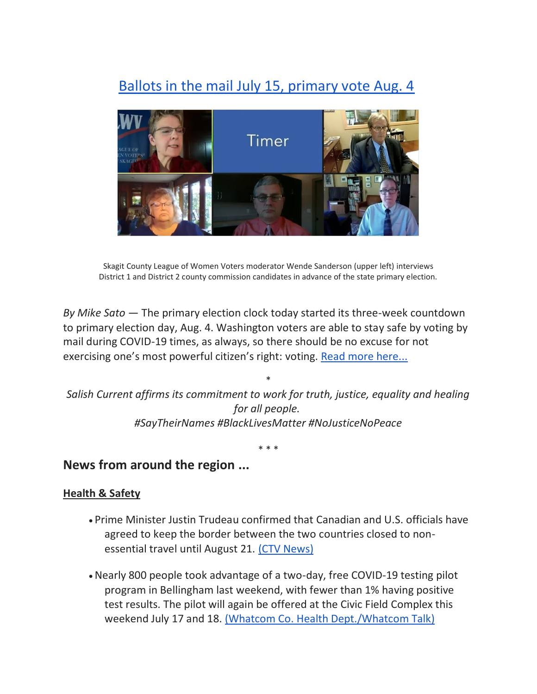# [Ballots in the mail July 15, primary vote Aug. 4](https://salish-current.org/2020/07/17/ballots-in-the-mail-july-15-primary-vote-aug-4/)



Skagit County League of Women Voters moderator Wende Sanderson (upper left) interviews District 1 and District 2 county commission candidates in advance of the state primary election.

*By Mike Sato* — The primary election clock today started its three-week countdown to primary election day, Aug. 4. Washington voters are able to stay safe by voting by mail during COVID-19 times, as always, so there should be no excuse for not exercising one's most powerful citizen's right: voting. [Read more here...](https://salish-current.org/2020/07/17/ballots-in-the-mail-july-15-primary-vote-aug-4/)

\* *Salish Current affirms its commitment to work for truth, justice, equality and healing for all people. #SayTheirNames #BlackLivesMatter #NoJusticeNoPeace*

\* \* \*

# **News from around the region ...**

#### **Health & Safety**

- Prime Minister Justin Trudeau confirmed that Canadian and U.S. officials have agreed to keep the border between the two countries closed to non-essential travel until August 21. [\(CTV News\)](https://www.ctvnews.ca/politics/pm-trudeau-confirms-canada-u-s-border-closure-extending-to-aug-21-1.5027167)
- •Nearly 800 people took advantage of a two-day, free COVID-19 testing pilot program in Bellingham last weekend, with fewer than 1% having positive test results. The pilot will again be offered at the Civic Field Complex this weekend July 17 and 18. [\(Whatcom Co. Health Dept./Whatcom Talk\)](https://www.whatcomtalk.com/2020/07/14/weekend-pilot-drive-through-testing-site-recap/)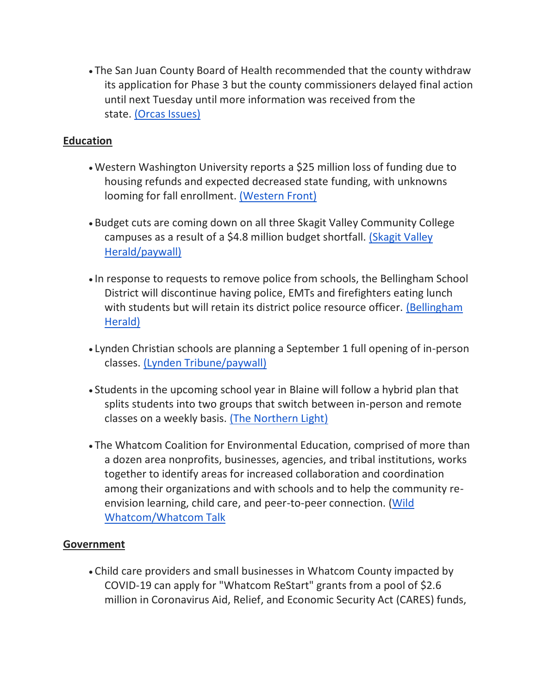• The San Juan County Board of Health recommended that the county withdraw its application for Phase 3 but the county commissioners delayed final action until next Tuesday until more information was received from the state. [\(Orcas Issues\)](https://orcasissues.com/county-council-delays-decision-on-withdrawing-phase-3-application/)

#### **Education**

- Western Washington University reports a \$25 million loss of funding due to housing refunds and expected decreased state funding, with unknowns looming for fall enrollment. [\(Western Front\)](https://www.westernfrontonline.com/2020/07/13/western-suffers-11-million-loss-due-to-remote-quarter)
- Budget cuts are coming down on all three Skagit Valley Community College campuses as a result of a \$4.8 million budget shortfall. [\(Skagit Valley](https://www.goskagit.com/news/cuts-to-touch-every-aspect-of-skagit-valley-college/article_e2bc7f42-8c23-5ebc-aa8e-3fb9e39f4fcc.html)  [Herald/paywall\)](https://www.goskagit.com/news/cuts-to-touch-every-aspect-of-skagit-valley-college/article_e2bc7f42-8c23-5ebc-aa8e-3fb9e39f4fcc.html)
- In response to requests to remove police from schools, the Bellingham School District will discontinue having police, EMTs and firefighters eating lunch with students but will retain its district police resource officer. (Bellingham [Herald\)](https://www.bellinghamherald.com/news/local/article244288307.html)
- Lynden Christian schools are planning a September 1 full opening of in-person classes. [\(Lynden Tribune/paywall\)](https://www.lyndentribune.com/news/lcs-finding-ways-to-start-sept-1-all-on-campus-safely/article_27e624ba-c629-11ea-aa63-1362b219b781.html)
- Students in the upcoming school year in Blaine will follow a hybrid plan that splits students into two groups that switch between in-person and remote classes on a weekly basis. [\(The Northern Light\)](https://www.thenorthernlight.com/stories/blaine-school-district-plans-for-hybrid-schedule-in-the-fall,11013?)
- The Whatcom Coalition for Environmental Education, comprised of more than a dozen area nonprofits, businesses, agencies, and tribal institutions, works together to identify areas for increased collaboration and coordination among their organizations and with schools and to help the community reenvision learning, child care, and peer-to-peer connection. [\(Wild](https://www.whatcomtalk.com/2020/07/10/opening-doors-to-outdoor-learning/)  [Whatcom/Whatcom Talk](https://www.whatcomtalk.com/2020/07/10/opening-doors-to-outdoor-learning/)

# **Government**

• Child care providers and small businesses in Whatcom County impacted by COVID-19 can apply for "Whatcom ReStart" grants from a pool of \$2.6 million in Coronavirus Aid, Relief, and Economic Security Act (CARES) funds,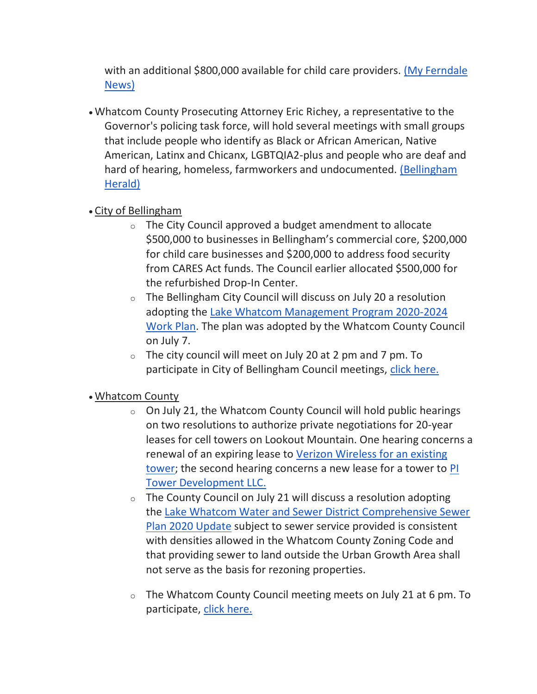with an additional \$800,000 available for child care providers. (My Ferndale [News\)](https://myferndalenews.com/childcare-providers-and-small-businesses-can-apply-for-local-grants-to-offset-covid-19-financial-impacts_105159/)

• Whatcom County Prosecuting Attorney Eric Richey, a representative to the Governor's policing task force, will hold several meetings with small groups that include people who identify as Black or African American, Native American, Latinx and Chicanx, LGBTQIA2-plus and people who are deaf and hard of hearing, homeless, farmworkers and undocumented. [\(Bellingham](https://www.bellinghamherald.com/news/local/article244130307.html)  [Herald\)](https://www.bellinghamherald.com/news/local/article244130307.html)

# • City of Bellingham

- o The City Council approved a budget amendment to allocate \$500,000 to businesses in Bellingham's commercial core, \$200,000 for child care businesses and \$200,000 to address food security from CARES Act funds. The Council earlier allocated \$500,000 for the refurbished Drop-In Center.
- $\circ$  The Bellingham City Council will discuss on July 20 a resolution adopting the [Lake Whatcom Management Program 2020-2024](https://meetings.cob.org/Documents/ViewDocument/Agenda%20Bill%2022586.pdf?meetingId=2260&documentType=Agenda&itemId=15123&publishId=16582&isSection=false)  [Work Plan.](https://meetings.cob.org/Documents/ViewDocument/Agenda%20Bill%2022586.pdf?meetingId=2260&documentType=Agenda&itemId=15123&publishId=16582&isSection=false) The plan was adopted by the Whatcom County Council on July 7.
- $\circ$  The city council will meet on July 20 at 2 pm and 7 pm. To participate in City of Bellingham Council meetings, [click here.](https://meetings.cob.org/Meetings/ViewMeeting?id=2266&doctype=1)

# • Whatcom County

- $\circ$  On July 21, the Whatcom County Council will hold public hearings on two resolutions to authorize private negotiations for 20-year leases for cell towers on Lookout Mountain. One hearing concerns a renewal of an expiring lease to [Verizon Wireless for an existing](https://whatcom.legistar.com/View.ashx?M=F&ID=8643667&GUID=7F09E16F-7C81-481D-8D69-F397BEA3E6B8)  [tower;](https://whatcom.legistar.com/View.ashx?M=F&ID=8643667&GUID=7F09E16F-7C81-481D-8D69-F397BEA3E6B8) the second hearing concerns a new lease for a tower to [PI](https://whatcom.legistar.com/View.ashx?M=F&ID=8643672&GUID=1AA4D645-66B3-4415-B907-F9A5F26C0335)  [Tower Development LLC.](https://whatcom.legistar.com/View.ashx?M=F&ID=8643672&GUID=1AA4D645-66B3-4415-B907-F9A5F26C0335)
- $\circ$  The County Council on July 21 will discuss a resolution adopting the [Lake Whatcom Water and Sewer District Comprehensive Sewer](https://whatcom.legistar.com/LegislationDetail.aspx?ID=4592905&GUID=261B4A39-FE1B-4C59-8B07-08C4B85691D0)  [Plan 2020 Update](https://whatcom.legistar.com/LegislationDetail.aspx?ID=4592905&GUID=261B4A39-FE1B-4C59-8B07-08C4B85691D0) subject to sewer service provided is consistent with densities allowed in the Whatcom County Zoning Code and that providing sewer to land outside the Urban Growth Area shall not serve as the basis for rezoning properties.
- $\circ$  The Whatcom County Council meeting meets on July 21 at 6 pm. To participate, [click here.](http://www.whatcomcounty.us/3415/Participate-in-Virtual-Council-Meetings)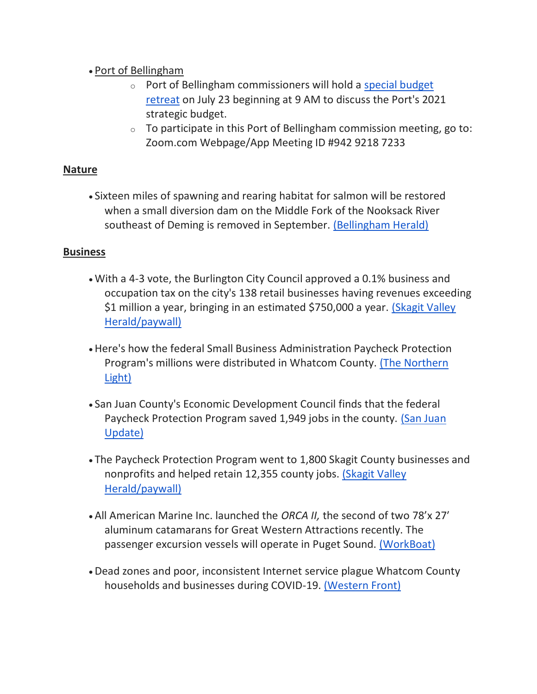# • Port of Bellingham

- o Port of Bellingham commissioners will hold a [special budget](https://www.portofbellingham.com/AgendaCenter/ViewFile/Agenda/_07232020-446)  [retreat](https://www.portofbellingham.com/AgendaCenter/ViewFile/Agenda/_07232020-446) on July 23 beginning at 9 AM to discuss the Port's 2021 strategic budget.
- $\circ$  To participate in this Port of Bellingham commission meeting, go to: Zoom.com Webpage/App Meeting ID #942 9218 7233

# **Nature**

• Sixteen miles of spawning and rearing habitat for salmon will be restored when a small diversion dam on the Middle Fork of the Nooksack River southeast of Deming is removed in September. [\(Bellingham Herald\)](https://www.bellinghamherald.com/news/local/article244071792.html)

# **Business**

- With a 4-3 vote, the Burlington City Council approved a 0.1% business and occupation tax on the city's 138 retail businesses having revenues exceeding \$1 million a year, bringing in an estimated \$750,000 a year. [\(Skagit Valley](https://www.goskagit.com/news/local_news/burlington-council-passes-new-tax-on-high-earning-businesses/article_047cb48b-5491-5011-87bb-2a9ee9bf476c.html)  [Herald/paywall\)](https://www.goskagit.com/news/local_news/burlington-council-passes-new-tax-on-high-earning-businesses/article_047cb48b-5491-5011-87bb-2a9ee9bf476c.html)
- Here's how the federal Small Business Administration Paycheck Protection Program's millions were distributed in Whatcom County. [\(The Northern](https://www.thenorthernlight.com/stories/sba-releases-payroll-protection-program-loan-details,10942?)  [Light\)](https://www.thenorthernlight.com/stories/sba-releases-payroll-protection-program-loan-details,10942?)
- San Juan County's Economic Development Council finds that the federal Paycheck Protection Program saved 1,949 jobs in the county. (San Juan [Update\)](https://sanjuanupdate.com/2020/07/edc-analysis-of-ppp-loan-data-for-san-juan-county-businesses/)
- The Paycheck Protection Program went to 1,800 Skagit County businesses and nonprofits and helped retain 12,355 county jobs. [\(Skagit Valley](https://www.goskagit.com/coronavirus/federal-loans-went-to-1-800-skagit-businesses-retained-12-355-jobs/article_c9d7d24e-06b3-558b-b169-5ecfcdabe3e3.html)  [Herald/paywall\)](https://www.goskagit.com/coronavirus/federal-loans-went-to-1-800-skagit-businesses-retained-12-355-jobs/article_c9d7d24e-06b3-558b-b169-5ecfcdabe3e3.html)
- All American Marine Inc. launched the *ORCA II,* the second of two 78'x 27′ aluminum catamarans for Great Western Attractions recently. The passenger excursion vessels will operate in Puget Sound. [\(WorkBoat\)](https://www.workboat.com/news/shipbuilding/all-american-launches-first-of-two-78-catamarans-for-puget-sound-copy/)
- Dead zones and poor, inconsistent Internet service plague Whatcom County households and businesses during COVID-19. [\(Western Front\)](https://www.westernfrontonline.com/2020/07/09/whatcom-county-combats-unreliable-internet-during-covid-19/)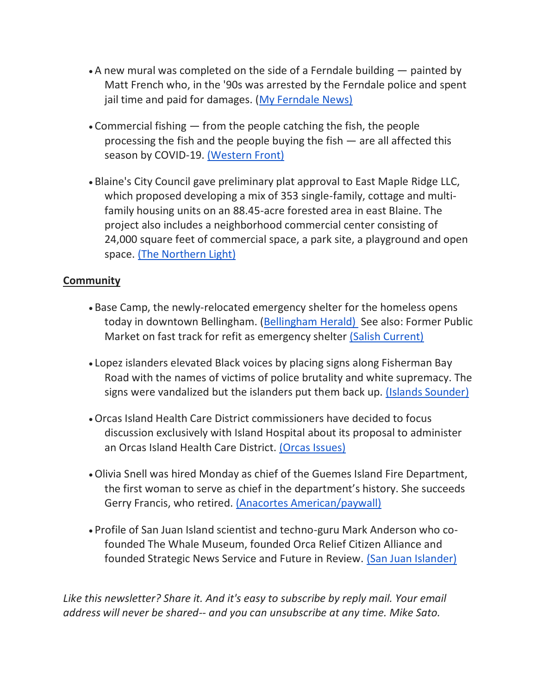- A new mural was completed on the side of a Ferndale building painted by Matt French who, in the '90s was arrested by the Ferndale police and spent jail time and paid for damages. [\(My Ferndale News\)](https://myferndalenews.com/new-mural-goes-up-on-downtown-building_104974/)
- Commercial fishing  $-$  from the people catching the fish, the people processing the fish and the people buying the fish — are all affected this season by COVID-19. [\(Western Front\)](https://www.westernfrontonline.com/2020/07/10/commercial-fishing-industry-braces-for-strange-season/)
- Blaine's City Council gave preliminary plat approval to East Maple Ridge LLC, which proposed developing a mix of 353 single-family, cottage and multifamily housing units on an 88.45-acre forested area in east Blaine. The project also includes a neighborhood commercial center consisting of 24,000 square feet of commercial space, a park site, a playground and open space. [\(The Northern Light\)](https://www.thenorthernlight.com/stories/city-council-approves-preliminary-plat-for-353-dwellings-in-east-blaine,10944?)

# **Community**

- Base Camp, the newly-relocated emergency shelter for the homeless opens today in downtown Bellingham. [\(Bellingham Herald\)](https://www.bellinghamherald.com/news/coronavirus/article244285667.html) See also: Former Public Market on fast track for refit as emergency shelter [\(Salish Current\)](https://salish-current.org/2020/07/09/former-public-market-on-fast-track-for-refit-as-emergency-shelter/)
- Lopez islanders elevated Black voices by placing signs along Fisherman Bay Road with the names of victims of police brutality and white supremacy. The signs were vandalized but the islanders put them back up. [\(Islands Sounder\)](https://www.islandssounder.com/news/lopez-island-signs-memorialize-lives-lost/)
- •Orcas Island Health Care District commissioners have decided to focus discussion exclusively with Island Hospital about its proposal to administer an Orcas Island Health Care District. [\(Orcas Issues\)](https://orcasissues.com/health-district-field-of-proposers-narrowed-to-one-candidate/)
- •Olivia Snell was hired Monday as chief of the Guemes Island Fire Department, the first woman to serve as chief in the department's history. She succeeds Gerry Francis, who retired. [\(Anacortes American/paywall\)](https://www.goskagit.com/anacortes/news/snell-is-first-female-fire-chief-in-guemes-island-fire-department-history/article_48479e3e-c6a9-11ea-b343-7fce79924a83.html)
- Profile of San Juan Island scientist and techno-guru Mark Anderson who cofounded The Whale Museum, founded Orca Relief Citizen Alliance and founded Strategic News Service and Future in Review. [\(San Juan Islander\)](https://sanjuanislander.com/news-articles/people/31396/an-influential-islander-mark-anderson)

*Like this newsletter? Share it. And it's easy to subscribe by reply mail. Your email address will never be shared-- and you can unsubscribe at any time. Mike Sato.*